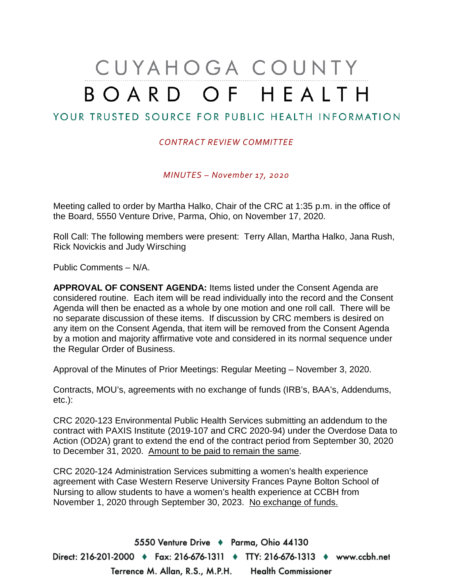# CUYAHOGA COUNTY BOARD OF HEALTH

# YOUR TRUSTED SOURCE FOR PUBLIC HEALTH INFORMATION

#### *CONTRACT REVIEW COMMITTEE*

*MINUTES – November 17, 2020*

Meeting called to order by Martha Halko, Chair of the CRC at 1:35 p.m. in the office of the Board, 5550 Venture Drive, Parma, Ohio, on November 17, 2020.

Roll Call: The following members were present: Terry Allan, Martha Halko, Jana Rush, Rick Novickis and Judy Wirsching

Public Comments – N/A.

**APPROVAL OF CONSENT AGENDA:** Items listed under the Consent Agenda are considered routine. Each item will be read individually into the record and the Consent Agenda will then be enacted as a whole by one motion and one roll call. There will be no separate discussion of these items. If discussion by CRC members is desired on any item on the Consent Agenda, that item will be removed from the Consent Agenda by a motion and majority affirmative vote and considered in its normal sequence under the Regular Order of Business.

Approval of the Minutes of Prior Meetings: Regular Meeting – November 3, 2020.

Contracts, MOU's, agreements with no exchange of funds (IRB's, BAA's, Addendums, etc.):

CRC 2020-123 Environmental Public Health Services submitting an addendum to the contract with PAXIS Institute (2019-107 and CRC 2020-94) under the Overdose Data to Action (OD2A) grant to extend the end of the contract period from September 30, 2020 to December 31, 2020. Amount to be paid to remain the same.

CRC 2020-124 Administration Services submitting a women's health experience agreement with Case Western Reserve University Frances Payne Bolton School of Nursing to allow students to have a women's health experience at CCBH from November 1, 2020 through September 30, 2023. No exchange of funds.

5550 Venture Drive + Parma, Ohio 44130 Direct: 216-201-2000 ♦ Fax: 216-676-1311 ♦ TTY: 216-676-1313 ♦ www.ccbh.net Terrence M. Allan, R.S., M.P.H. Health Commissioner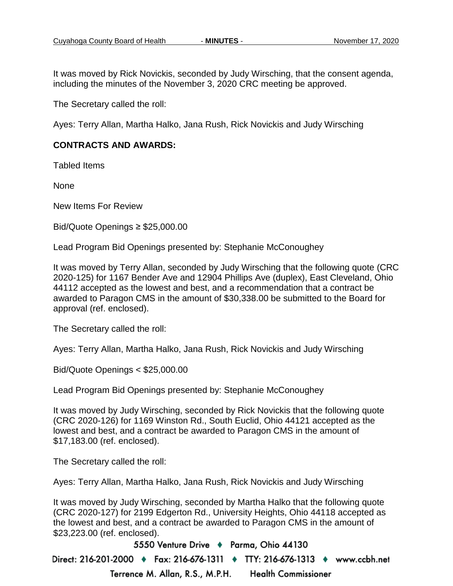It was moved by Rick Novickis, seconded by Judy Wirsching, that the consent agenda, including the minutes of the November 3, 2020 CRC meeting be approved.

The Secretary called the roll:

Ayes: Terry Allan, Martha Halko, Jana Rush, Rick Novickis and Judy Wirsching

## **CONTRACTS AND AWARDS:**

Tabled Items

None

New Items For Review

Bid/Quote Openings ≥ \$25,000.00

Lead Program Bid Openings presented by: Stephanie McConoughey

It was moved by Terry Allan, seconded by Judy Wirsching that the following quote (CRC 2020-125) for 1167 Bender Ave and 12904 Phillips Ave (duplex), East Cleveland, Ohio 44112 accepted as the lowest and best, and a recommendation that a contract be awarded to Paragon CMS in the amount of \$30,338.00 be submitted to the Board for approval (ref. enclosed).

The Secretary called the roll:

Ayes: Terry Allan, Martha Halko, Jana Rush, Rick Novickis and Judy Wirsching

Bid/Quote Openings < \$25,000.00

Lead Program Bid Openings presented by: Stephanie McConoughey

It was moved by Judy Wirsching, seconded by Rick Novickis that the following quote (CRC 2020-126) for 1169 Winston Rd., South Euclid, Ohio 44121 accepted as the lowest and best, and a contract be awarded to Paragon CMS in the amount of \$17,183.00 (ref. enclosed).

The Secretary called the roll:

Ayes: Terry Allan, Martha Halko, Jana Rush, Rick Novickis and Judy Wirsching

It was moved by Judy Wirsching, seconded by Martha Halko that the following quote (CRC 2020-127) for 2199 Edgerton Rd., University Heights, Ohio 44118 accepted as the lowest and best, and a contract be awarded to Paragon CMS in the amount of \$23,223.00 (ref. enclosed).

5550 Venture Drive + Parma, Ohio 44130

Direct: 216-201-2000 ♦ Fax: 216-676-1311 ♦ TTY: 216-676-1313 ♦ www.ccbh.net Terrence M. Allan, R.S., M.P.H. **Health Commissioner**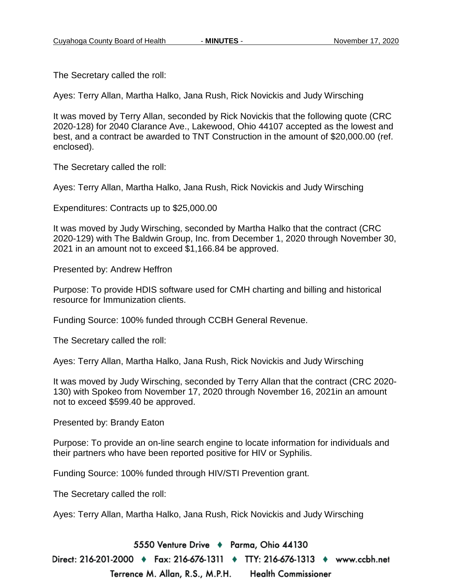The Secretary called the roll:

Ayes: Terry Allan, Martha Halko, Jana Rush, Rick Novickis and Judy Wirsching

It was moved by Terry Allan, seconded by Rick Novickis that the following quote (CRC 2020-128) for 2040 Clarance Ave., Lakewood, Ohio 44107 accepted as the lowest and best, and a contract be awarded to TNT Construction in the amount of \$20,000.00 (ref. enclosed).

The Secretary called the roll:

Ayes: Terry Allan, Martha Halko, Jana Rush, Rick Novickis and Judy Wirsching

Expenditures: Contracts up to \$25,000.00

It was moved by Judy Wirsching, seconded by Martha Halko that the contract (CRC 2020-129) with The Baldwin Group, Inc. from December 1, 2020 through November 30, 2021 in an amount not to exceed \$1,166.84 be approved.

Presented by: Andrew Heffron

Purpose: To provide HDIS software used for CMH charting and billing and historical resource for Immunization clients.

Funding Source: 100% funded through CCBH General Revenue.

The Secretary called the roll:

Ayes: Terry Allan, Martha Halko, Jana Rush, Rick Novickis and Judy Wirsching

It was moved by Judy Wirsching, seconded by Terry Allan that the contract (CRC 2020- 130) with Spokeo from November 17, 2020 through November 16, 2021in an amount not to exceed \$599.40 be approved.

Presented by: Brandy Eaton

Purpose: To provide an on-line search engine to locate information for individuals and their partners who have been reported positive for HIV or Syphilis.

Funding Source: 100% funded through HIV/STI Prevention grant.

The Secretary called the roll:

Ayes: Terry Allan, Martha Halko, Jana Rush, Rick Novickis and Judy Wirsching

5550 Venture Drive + Parma, Ohio 44130 Direct: 216-201-2000 ♦ Fax: 216-676-1311 ♦ TTY: 216-676-1313 ♦ www.ccbh.net Terrence M. Allan, R.S., M.P.H. **Health Commissioner**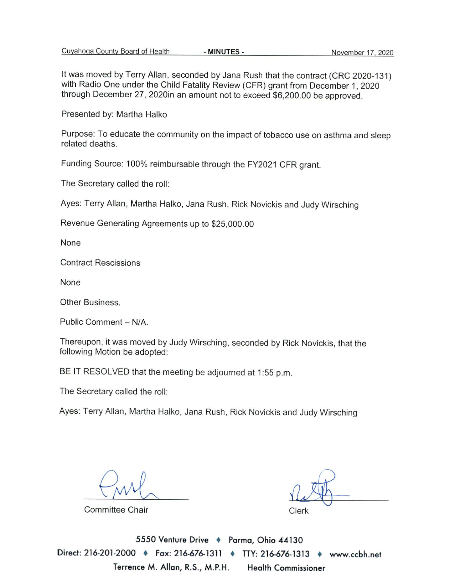It was moved by Terry Allan, seconded by Jana Rush that the contract (CRC 2020-131) with Radio One under the Child Fatality Review (CFR) grant from December 1, 2020 through December 27, 2020in an amount not to exceed \$6,200.00 be approved.

Presented by: Martha Halko

Purpose: To educate the community on the impact of tobacco use on asthma and sleep related deaths.

Funding Source: 100% reimbursable through the FY2021 CFR grant.

The Secretary called the roll:

Ayes: Terry Allan, Martha Halko, Jana Rush, Rick Novickis and Judy Wirsching

Revenue Generating Agreements up to \$25,000.00

None

**Contract Rescissions** 

None

Other Business.

Public Comment - N/A.

Thereupon, it was moved by Judy Wirsching, seconded by Rick Novickis, that the following Motion be adopted:

BE IT RESOLVED that the meeting be adjourned at 1:55 p.m.

The Secretary called the roll:

Ayes: Terry Allan, Martha Halko, Jana Rush, Rick Novickis and Judy Wirsching

Committee Chair

Clerk

5550 Venture Drive + Parma, Ohio 44130 Direct: 216-201-2000 • Fax: 216-676-1311 • TTY: 216-676-1313 • www.ccbh.net Terrence M. Allan, R.S., M.P.H. **Health Commissioner**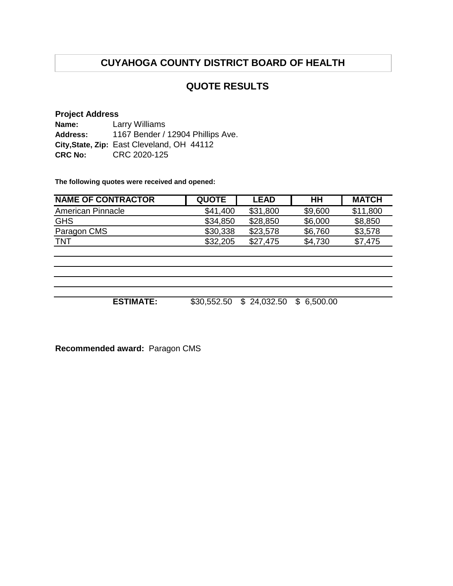# **QUOTE RESULTS**

## **Project Address**

**Name: Address: City,State, Zip:** East Cleveland, OH 44112 **CRC No:** CRC 2020-125 Larry Williams 1167 Bender / 12904 Phillips Ave.

**The following quotes were received and opened:**

| <b>NAME OF CONTRACTOR</b> | <b>QUOTE</b> | <b>LEAD</b> | HH      | <b>MATCH</b> |
|---------------------------|--------------|-------------|---------|--------------|
| American Pinnacle         | \$41,400     | \$31,800    | \$9,600 | \$11,800     |
| <b>GHS</b>                | \$34,850     | \$28,850    | \$6,000 | \$8,850      |
| Paragon CMS               | \$30,338     | \$23,578    | \$6,760 | \$3,578      |
| <b>TNT</b>                | \$32,205     | \$27.475    | \$4,730 | \$7,475      |

**ESTIMATE:** \$30,552.50 \$ 24,032.50 \$ 6,500.00

**Recommended award:** Paragon CMS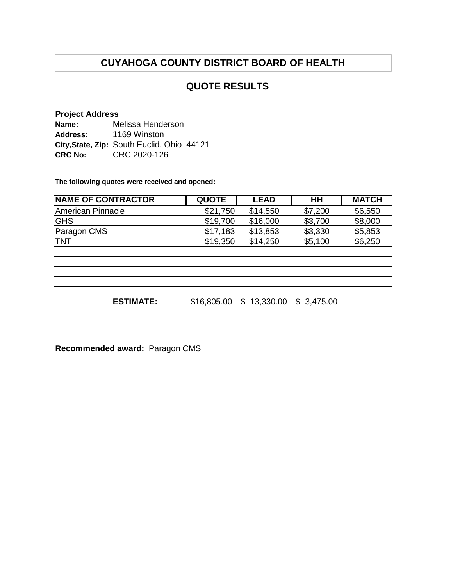## **QUOTE RESULTS**

## **Project Address**

**Name: Address:** City, State, Zip: South Euclid, Ohio 44121 **CRC No:** CRC 2020-126 Melissa Henderson 1169 Winston

**The following quotes were received and opened:**

| <b>NAME OF CONTRACTOR</b> | <b>QUOTE</b> | <b>LEAD</b> | HН      | <b>MATCH</b> |
|---------------------------|--------------|-------------|---------|--------------|
| American Pinnacle         | \$21.750     | \$14,550    | \$7,200 | \$6,550      |
| <b>GHS</b>                | \$19,700     | \$16,000    | \$3,700 | \$8,000      |
| Paragon CMS               | \$17,183     | \$13,853    | \$3,330 | \$5,853      |
| <b>TNT</b>                | \$19.350     | \$14.250    | \$5,100 | \$6,250      |

**ESTIMATE:** \$16,805.00 \$ 13,330.00 \$ 3,475.00

**Recommended award:** Paragon CMS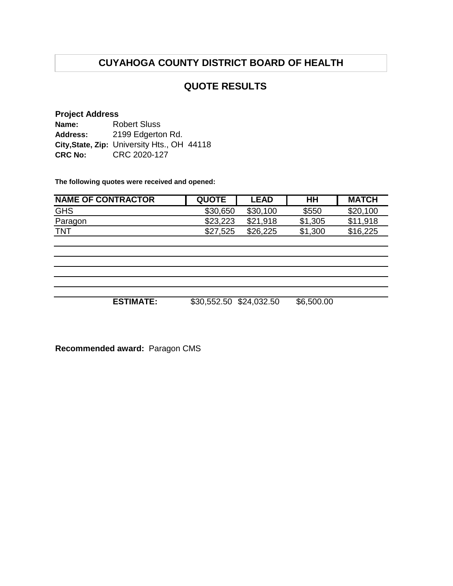## **QUOTE RESULTS**

## **Project Address**

| Name:          | <b>Robert Sluss</b>                         |
|----------------|---------------------------------------------|
| Address:       | 2199 Edgerton Rd.                           |
|                | City, State, Zip: University Hts., OH 44118 |
| <b>CRC No:</b> | CRC 2020-127                                |

**The following quotes were received and opened:**

| <b>NAME OF CONTRACTOR</b> | <b>QUOTE</b> | <b>LEAD</b> | HH      | <b>MATCH</b> |
|---------------------------|--------------|-------------|---------|--------------|
| <b>GHS</b>                | \$30,650     | \$30,100    | \$550   | \$20,100     |
| Paragon                   | \$23,223     | \$21,918    | \$1,305 | \$11,918     |
| <b>TNT</b>                | \$27,525     | \$26,225    | \$1,300 | \$16,225     |

**ESTIMATE:** \$30,552.50 \$24,032.50 \$6,500.00

**Recommended award:** Paragon CMS